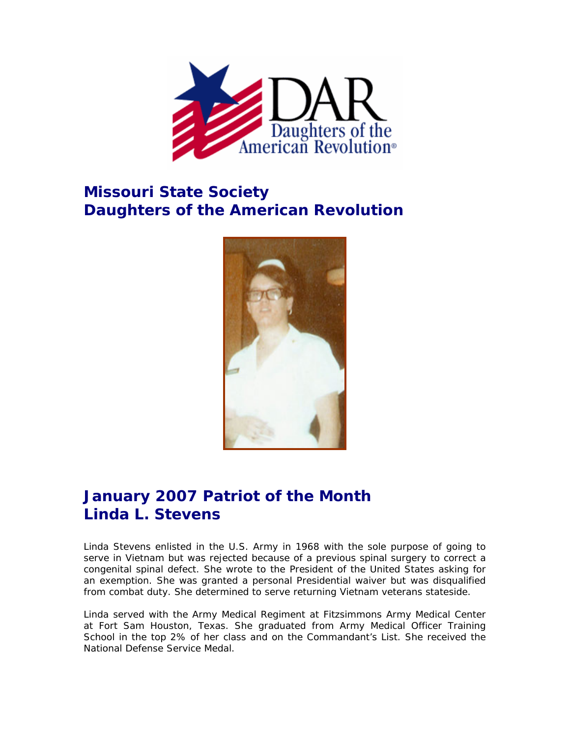

## **Missouri State Society Daughters of the American Revolution**



## **January 2007 Patriot of the Month Linda L. Stevens**

Linda Stevens enlisted in the U.S. Army in 1968 with the sole purpose of going to serve in Vietnam but was rejected because of a previous spinal surgery to correct a congenital spinal defect. She wrote to the President of the United States asking for an exemption. She was granted a personal Presidential waiver but was disqualified from combat duty. She determined to serve returning Vietnam veterans stateside.

Linda served with the Army Medical Regiment at Fitzsimmons Army Medical Center at Fort Sam Houston, Texas. She graduated from Army Medical Officer Training School in the top 2% of her class and on the Commandant's List. She received the National Defense Service Medal.